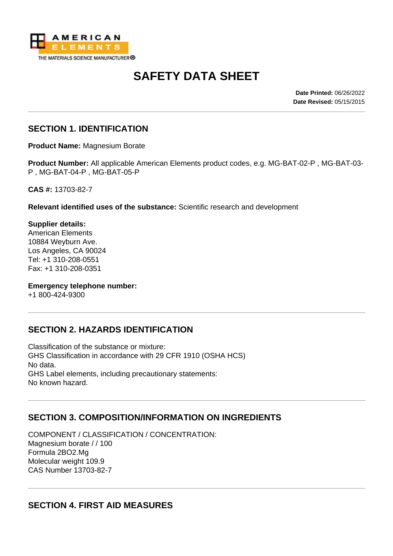

# **SAFETY DATA SHEET**

**Date Printed:** 06/26/2022 **Date Revised:** 05/15/2015

#### **SECTION 1. IDENTIFICATION**

**Product Name:** Magnesium Borate

**Product Number:** All applicable American Elements product codes, e.g. MG-BAT-02-P , MG-BAT-03- P , MG-BAT-04-P , MG-BAT-05-P

**CAS #:** 13703-82-7

**Relevant identified uses of the substance:** Scientific research and development

**Supplier details:** American Elements 10884 Weyburn Ave. Los Angeles, CA 90024 Tel: +1 310-208-0551 Fax: +1 310-208-0351

**Emergency telephone number:**

+1 800-424-9300

#### **SECTION 2. HAZARDS IDENTIFICATION**

Classification of the substance or mixture: GHS Classification in accordance with 29 CFR 1910 (OSHA HCS) No data. GHS Label elements, including precautionary statements: No known hazard.

#### **SECTION 3. COMPOSITION/INFORMATION ON INGREDIENTS**

COMPONENT / CLASSIFICATION / CONCENTRATION: Magnesium borate / / 100 Formula 2BO2.Mg Molecular weight 109.9 CAS Number 13703-82-7

#### **SECTION 4. FIRST AID MEASURES**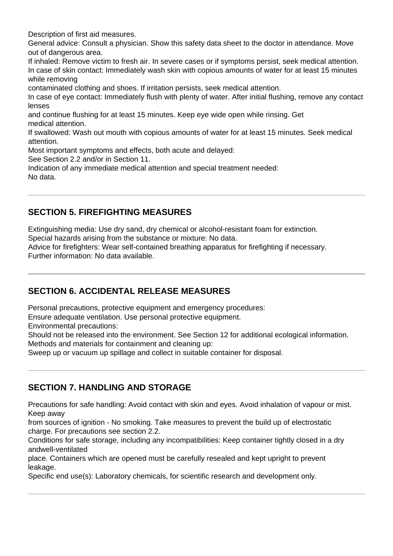Description of first aid measures.

General advice: Consult a physician. Show this safety data sheet to the doctor in attendance. Move out of dangerous area.

If inhaled: Remove victim to fresh air. In severe cases or if symptoms persist, seek medical attention. In case of skin contact: Immediately wash skin with copious amounts of water for at least 15 minutes while removing

contaminated clothing and shoes. If irritation persists, seek medical attention.

In case of eye contact: Immediately flush with plenty of water. After initial flushing, remove any contact lenses

and continue flushing for at least 15 minutes. Keep eye wide open while rinsing. Get medical attention.

If swallowed: Wash out mouth with copious amounts of water for at least 15 minutes. Seek medical attention.

Most important symptoms and effects, both acute and delayed:

See Section 2.2 and/or in Section 11.

Indication of any immediate medical attention and special treatment needed: No data.

# **SECTION 5. FIREFIGHTING MEASURES**

Extinguishing media: Use dry sand, dry chemical or alcohol-resistant foam for extinction.

Special hazards arising from the substance or mixture: No data.

Advice for firefighters: Wear self-contained breathing apparatus for firefighting if necessary. Further information: No data available.

#### **SECTION 6. ACCIDENTAL RELEASE MEASURES**

Personal precautions, protective equipment and emergency procedures:

Ensure adequate ventilation. Use personal protective equipment.

Environmental precautions:

Should not be released into the environment. See Section 12 for additional ecological information. Methods and materials for containment and cleaning up:

Sweep up or vacuum up spillage and collect in suitable container for disposal.

#### **SECTION 7. HANDLING AND STORAGE**

Precautions for safe handling: Avoid contact with skin and eyes. Avoid inhalation of vapour or mist. Keep away

from sources of ignition - No smoking. Take measures to prevent the build up of electrostatic charge. For precautions see section 2.2.

Conditions for safe storage, including any incompatibilities: Keep container tightly closed in a dry andwell-ventilated

place. Containers which are opened must be carefully resealed and kept upright to prevent leakage.

Specific end use(s): Laboratory chemicals, for scientific research and development only.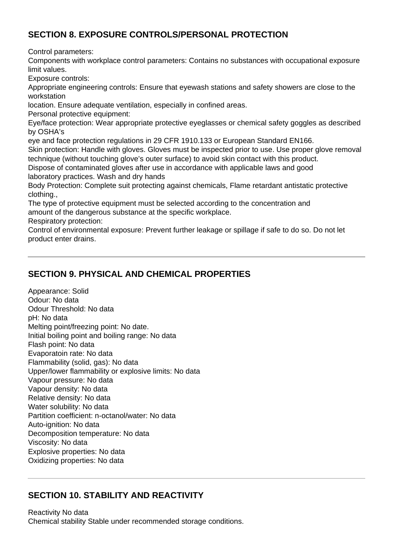#### **SECTION 8. EXPOSURE CONTROLS/PERSONAL PROTECTION**

Control parameters:

Components with workplace control parameters: Contains no substances with occupational exposure limit values.

Exposure controls:

Appropriate engineering controls: Ensure that eyewash stations and safety showers are close to the workstation

location. Ensure adequate ventilation, especially in confined areas.

Personal protective equipment:

Eye/face protection: Wear appropriate protective eyeglasses or chemical safety goggles as described by OSHA's

eye and face protection regulations in 29 CFR 1910.133 or European Standard EN166.

Skin protection: Handle with gloves. Gloves must be inspected prior to use. Use proper glove removal technique (without touching glove's outer surface) to avoid skin contact with this product.

Dispose of contaminated gloves after use in accordance with applicable laws and good laboratory practices. Wash and dry hands

Body Protection: Complete suit protecting against chemicals, Flame retardant antistatic protective clothing.,

The type of protective equipment must be selected according to the concentration and amount of the dangerous substance at the specific workplace.

Respiratory protection:

Control of environmental exposure: Prevent further leakage or spillage if safe to do so. Do not let product enter drains.

#### **SECTION 9. PHYSICAL AND CHEMICAL PROPERTIES**

Appearance: Solid Odour: No data Odour Threshold: No data pH: No data Melting point/freezing point: No date. Initial boiling point and boiling range: No data Flash point: No data Evaporatoin rate: No data Flammability (solid, gas): No data Upper/lower flammability or explosive limits: No data Vapour pressure: No data Vapour density: No data Relative density: No data Water solubility: No data Partition coefficient: n-octanol/water: No data Auto-ignition: No data Decomposition temperature: No data Viscosity: No data Explosive properties: No data Oxidizing properties: No data

#### **SECTION 10. STABILITY AND REACTIVITY**

Reactivity No data Chemical stability Stable under recommended storage conditions.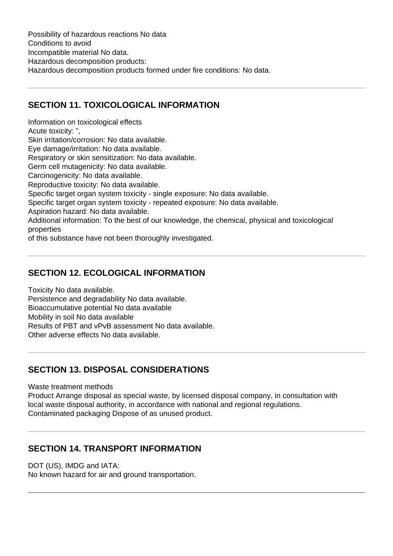Possibility of hazardous reactions No data Conditions to avoid Incompatible material No data. Hazardous decomposition products: Hazardous decomposition products formed under fire conditions: No data.

#### **SECTION 11. TOXICOLOGICAL INFORMATION**

Information on toxicological effects Acute toxicity: ", Skin irritation/corrosion: No data available. Eye damage/irritation: No data available. Respiratory or skin sensitization: No data available. Germ cell mutagenicity: No data available. Carcinogenicity: No data available. Reproductive toxicity: No data available. Specific target organ system toxicity - single exposure: No data available. Specific target organ system toxicity - repeated exposure: No data available. Aspiration hazard: No data available. Additional information: To the best of our knowledge, the chemical, physical and toxicological properties of this substance have not been thoroughly investigated.

### **SECTION 12. ECOLOGICAL INFORMATION**

Toxicity No data available. Persistence and degradability No data available. Bioaccumulative potential No data available Mobility in soil No data available Results of PBT and vPvB assessment No data available. Other adverse effects No data available.

# **SECTION 13. DISPOSAL CONSIDERATIONS**

Waste treatment methods

Product Arrange disposal as special waste, by licensed disposal company, in consultation with local waste disposal authority, in accordance with national and regional regulations. Contaminated packaging Dispose of as unused product.

# **SECTION 14. TRANSPORT INFORMATION**

DOT (US), IMDG and IATA:

No known hazard for air and ground transportation.